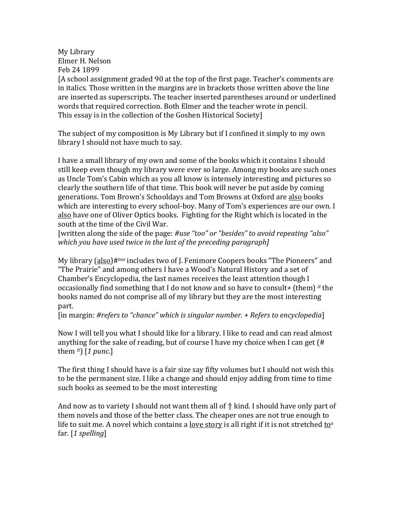My Library Elmer H. Nelson Feb 24 1899

[A school assignment graded 90 at the top of the first page. Teacher's comments are in italics. Those written in the margins are in brackets those written above the line are inserted as superscripts. The teacher inserted parentheses around or underlined words that required correction. Both Elmer and the teacher wrote in pencil. This essay is in the collection of the Goshen Historical Society]

The subject of my composition is My Library but if I confined it simply to my own library I should not have much to say.

I have a small library of my own and some of the books which it contains I should still keep even though my library were ever so large. Among my books are such ones as Uncle Tom's Cabin which as you all know is intensely interesting and pictures so clearly the southern life of that time. This book will never be put aside by coming generations. Tom Brown's Schooldays and Tom Browns at Oxford are also books which are interesting to every school-boy. Many of Tom's experiences are our own. I also have one of Oliver Optics books. Fighting for the Right which is located in the south at the time of the Civil War.

[written along the side of the page: #use "too" or "besides" to avoid repeating "also" *which* you have used twice in the last of the preceding paragraph]

My library (also)#<sup>too</sup> includes two of J. Fenimore Coopers books "The Pioneers" and "The Prairie" and among others I have a Wood's Natural History and a set of Chamber's Encyclopedia, the last names receives the least attention though I occasionally find something that I do not know and so have to consult+ (them) <sup>it</sup> the books named do not comprise all of my library but they are the most interesting part.

[in margin: #refers to "chance" which is singular number. + Refers to encyclopedia]

Now I will tell you what I should like for a library. I like to read and can read almost anything for the sake of reading, but of course I have my choice when I can get  $(H$ them  $it$  [1 punc.]

The first thing I should have is a fair size say fifty volumes but I should not wish this to be the permanent size. I like a change and should enjoy adding from time to time such books as seemed to be the most interesting

And now as to variety I should not want them all of  $\Uparrow$  kind. I should have only part of them novels and those of the better class. The cheaper ones are not true enough to life to suit me. A novel which contains a love story is all right if it is not stretched to<sup>o</sup> far. [*1 spelling*]